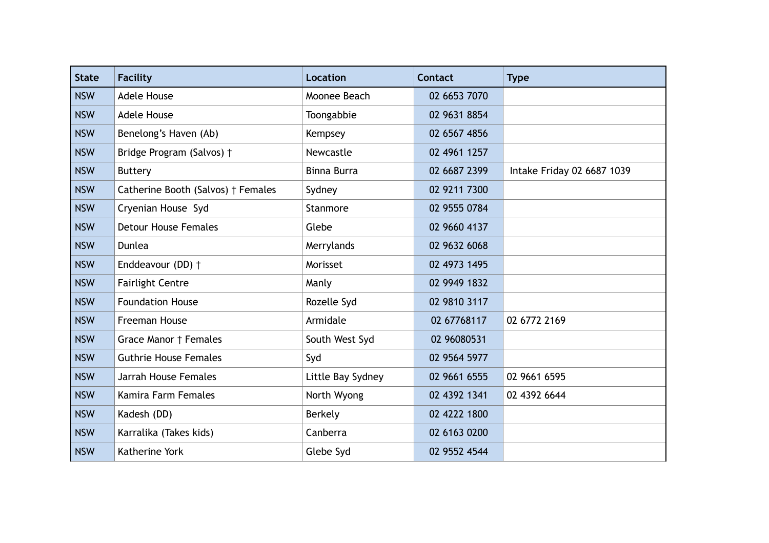| <b>State</b> | <b>Facility</b>                    | <b>Location</b>    | <b>Contact</b> | <b>Type</b>                |
|--------------|------------------------------------|--------------------|----------------|----------------------------|
| <b>NSW</b>   | <b>Adele House</b>                 | Moonee Beach       | 02 6653 7070   |                            |
| <b>NSW</b>   | <b>Adele House</b>                 | Toongabbie         | 02 9631 8854   |                            |
| <b>NSW</b>   | Benelong's Haven (Ab)              | Kempsey            | 02 6567 4856   |                            |
| <b>NSW</b>   | Bridge Program (Salvos) †          | Newcastle          | 02 4961 1257   |                            |
| <b>NSW</b>   | <b>Buttery</b>                     | <b>Binna Burra</b> | 02 6687 2399   | Intake Friday 02 6687 1039 |
| <b>NSW</b>   | Catherine Booth (Salvos) † Females | Sydney             | 02 9211 7300   |                            |
| <b>NSW</b>   | Cryenian House Syd                 | Stanmore           | 02 9555 0784   |                            |
| <b>NSW</b>   | <b>Detour House Females</b>        | Glebe              | 02 9660 4137   |                            |
| <b>NSW</b>   | Dunlea                             | Merrylands         | 02 9632 6068   |                            |
| <b>NSW</b>   | Enddeavour (DD) +                  | Morisset           | 02 4973 1495   |                            |
| <b>NSW</b>   | <b>Fairlight Centre</b>            | Manly              | 02 9949 1832   |                            |
| <b>NSW</b>   | <b>Foundation House</b>            | Rozelle Syd        | 02 9810 3117   |                            |
| <b>NSW</b>   | Freeman House                      | Armidale           | 02 67768117    | 02 6772 2169               |
| <b>NSW</b>   | Grace Manor † Females              | South West Syd     | 02 96080531    |                            |
| <b>NSW</b>   | <b>Guthrie House Females</b>       | Syd                | 02 9564 5977   |                            |
| <b>NSW</b>   | Jarrah House Females               | Little Bay Sydney  | 02 9661 6555   | 02 9661 6595               |
| <b>NSW</b>   | Kamira Farm Females                | North Wyong        | 02 4392 1341   | 02 4392 6644               |
| <b>NSW</b>   | Kadesh (DD)                        | Berkely            | 02 4222 1800   |                            |
| <b>NSW</b>   | Karralika (Takes kids)             | Canberra           | 02 6163 0200   |                            |
| <b>NSW</b>   | Katherine York                     | Glebe Syd          | 02 9552 4544   |                            |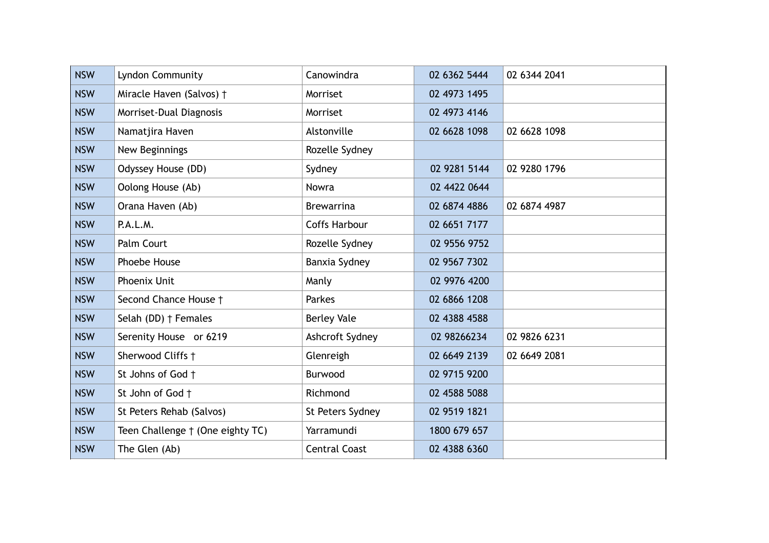| <b>NSW</b> | Lyndon Community                 | Canowindra           | 02 6362 5444 | 02 6344 2041 |
|------------|----------------------------------|----------------------|--------------|--------------|
| <b>NSW</b> | Miracle Haven (Salvos) †         | Morriset             | 02 4973 1495 |              |
| <b>NSW</b> | Morriset-Dual Diagnosis          | Morriset             | 02 4973 4146 |              |
| <b>NSW</b> | Namatjira Haven                  | Alstonville          | 02 6628 1098 | 02 6628 1098 |
| <b>NSW</b> | New Beginnings                   | Rozelle Sydney       |              |              |
| <b>NSW</b> | Odyssey House (DD)               | Sydney               | 02 9281 5144 | 02 9280 1796 |
| <b>NSW</b> | Oolong House (Ab)                | Nowra                | 02 4422 0644 |              |
| <b>NSW</b> | Orana Haven (Ab)                 | <b>Brewarrina</b>    | 02 6874 4886 | 02 6874 4987 |
| <b>NSW</b> | P.A.L.M.                         | <b>Coffs Harbour</b> | 02 6651 7177 |              |
| <b>NSW</b> | Palm Court                       | Rozelle Sydney       | 02 9556 9752 |              |
| <b>NSW</b> | Phoebe House                     | Banxia Sydney        | 02 9567 7302 |              |
| <b>NSW</b> | Phoenix Unit                     | Manly                | 02 9976 4200 |              |
| <b>NSW</b> | Second Chance House †            | Parkes               | 02 6866 1208 |              |
| <b>NSW</b> | Selah (DD) † Females             | <b>Berley Vale</b>   | 02 4388 4588 |              |
| <b>NSW</b> | Serenity House or 6219           | Ashcroft Sydney      | 02 98266234  | 02 9826 6231 |
| <b>NSW</b> | Sherwood Cliffs +                | Glenreigh            | 02 6649 2139 | 02 6649 2081 |
| <b>NSW</b> | St Johns of God +                | Burwood              | 02 9715 9200 |              |
| <b>NSW</b> | St John of God +                 | Richmond             | 02 4588 5088 |              |
| <b>NSW</b> | St Peters Rehab (Salvos)         | St Peters Sydney     | 02 9519 1821 |              |
| <b>NSW</b> | Teen Challenge † (One eighty TC) | Yarramundi           | 1800 679 657 |              |
| <b>NSW</b> | The Glen (Ab)                    | <b>Central Coast</b> | 02 4388 6360 |              |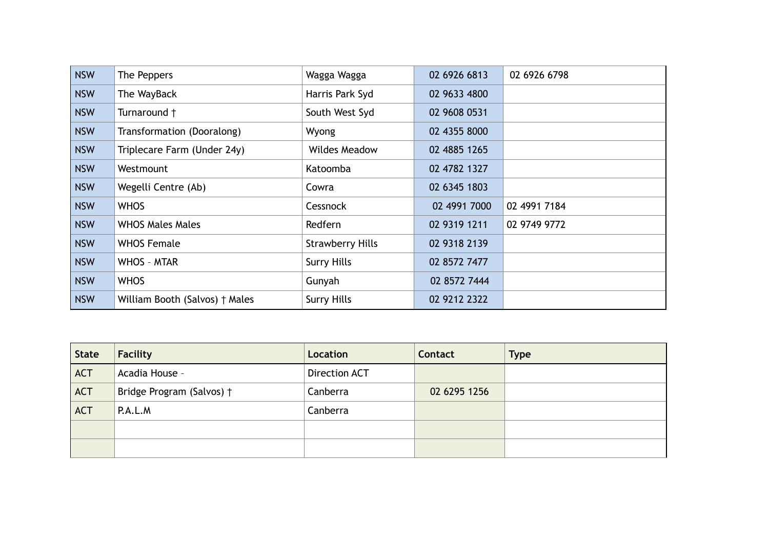| <b>NSW</b> | The Peppers                    | Wagga Wagga             | 02 6926 6813 | 02 6926 6798 |
|------------|--------------------------------|-------------------------|--------------|--------------|
| <b>NSW</b> | The WayBack                    | Harris Park Syd         | 02 9633 4800 |              |
| <b>NSW</b> | Turnaround +                   | South West Syd          | 02 9608 0531 |              |
| <b>NSW</b> | Transformation (Dooralong)     | Wyong                   | 02 4355 8000 |              |
| <b>NSW</b> | Triplecare Farm (Under 24y)    | <b>Wildes Meadow</b>    | 02 4885 1265 |              |
| <b>NSW</b> | Westmount                      | Katoomba                | 02 4782 1327 |              |
| <b>NSW</b> | Wegelli Centre (Ab)            | Cowra                   | 02 6345 1803 |              |
| <b>NSW</b> | <b>WHOS</b>                    | Cessnock                | 02 4991 7000 | 02 4991 7184 |
| <b>NSW</b> | <b>WHOS Males Males</b>        | Redfern                 | 02 9319 1211 | 02 9749 9772 |
| <b>NSW</b> | <b>WHOS Female</b>             | <b>Strawberry Hills</b> | 02 9318 2139 |              |
| <b>NSW</b> | <b>WHOS - MTAR</b>             | <b>Surry Hills</b>      | 02 8572 7477 |              |
| <b>NSW</b> | <b>WHOS</b>                    | Gunyah                  | 02 8572 7444 |              |
| <b>NSW</b> | William Booth (Salvos) † Males | <b>Surry Hills</b>      | 02 9212 2322 |              |

| <b>State</b> | Facility                  | Location      | Contact      | <b>Type</b> |
|--------------|---------------------------|---------------|--------------|-------------|
| <b>ACT</b>   | Acadia House -            | Direction ACT |              |             |
| <b>ACT</b>   | Bridge Program (Salvos) † | Canberra      | 02 6295 1256 |             |
| <b>ACT</b>   | P.A.L.M                   | Canberra      |              |             |
|              |                           |               |              |             |
|              |                           |               |              |             |